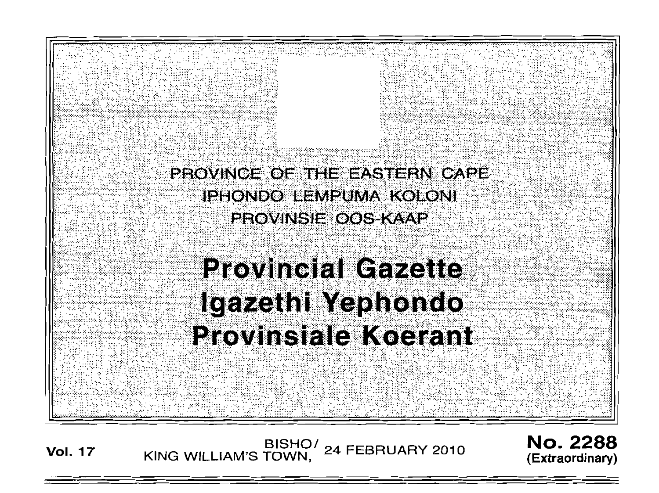PROVINCE OF THE EASTERN CAPE **IPHONDO LEMPUMA KOLONI PROVINSIE OOS KAAP** 

# **Provincial Gazette** Igazethi Yephondo **Provinsiale Koerant**

BISHO/<br>KING WILLIAM'S TOWN, 24 FEBRUARY 2010 **No. 2288** (Extraordinary)

**Vol. 17**